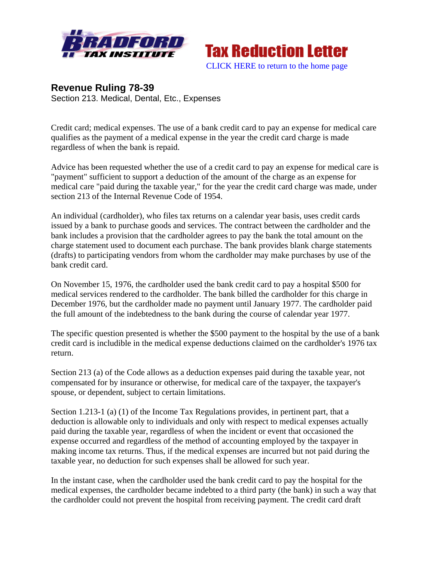



## **Revenue Ruling 78-39**  Section 213. Medical, Dental, Etc., Expenses

Credit card; medical expenses. The use of a bank credit card to pay an expense for medical care qualifies as the payment of a medical expense in the year the credit card charge is made regardless of when the bank is repaid.

Advice has been requested whether the use of a credit card to pay an expense for medical care is "payment" sufficient to support a deduction of the amount of the charge as an expense for medical care "paid during the taxable year," for the year the credit card charge was made, under section 213 of the Internal Revenue Code of 1954.

An individual (cardholder), who files tax returns on a calendar year basis, uses credit cards issued by a bank to purchase goods and services. The contract between the cardholder and the bank includes a provision that the cardholder agrees to pay the bank the total amount on the charge statement used to document each purchase. The bank provides blank charge statements (drafts) to participating vendors from whom the cardholder may make purchases by use of the bank credit card.

On November 15, 1976, the cardholder used the bank credit card to pay a hospital \$500 for medical services rendered to the cardholder. The bank billed the cardholder for this charge in December 1976, but the cardholder made no payment until January 1977. The cardholder paid the full amount of the indebtedness to the bank during the course of calendar year 1977.

The specific question presented is whether the \$500 payment to the hospital by the use of a bank credit card is includible in the medical expense deductions claimed on the cardholder's 1976 tax return.

Section 213 (a) of the Code allows as a deduction expenses paid during the taxable year, not compensated for by insurance or otherwise, for medical care of the taxpayer, the taxpayer's spouse, or dependent, subject to certain limitations.

Section 1.213-1 (a) (1) of the Income Tax Regulations provides, in pertinent part, that a deduction is allowable only to individuals and only with respect to medical expenses actually paid during the taxable year, regardless of when the incident or event that occasioned the expense occurred and regardless of the method of accounting employed by the taxpayer in making income tax returns. Thus, if the medical expenses are incurred but not paid during the taxable year, no deduction for such expenses shall be allowed for such year.

In the instant case, when the cardholder used the bank credit card to pay the hospital for the medical expenses, the cardholder became indebted to a third party (the bank) in such a way that the cardholder could not prevent the hospital from receiving payment. The credit card draft